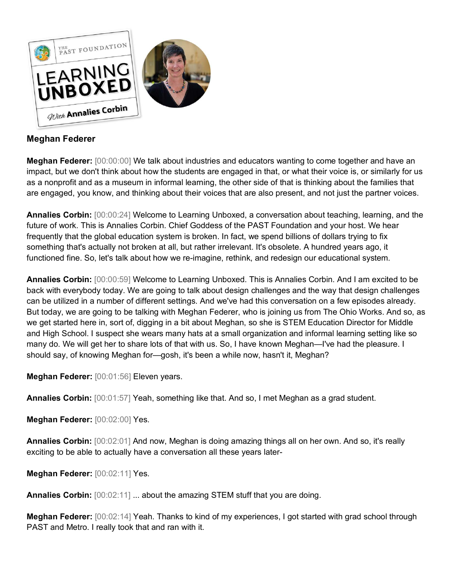

# **Meghan Federer**

**Meghan Federer:** [00:00:00] We talk about industries and educators wanting to come together and have an impact, but we don't think about how the students are engaged in that, or what their voice is, or similarly for us as a nonprofit and as a museum in informal learning, the other side of that is thinking about the families that are engaged, you know, and thinking about their voices that are also present, and not just the partner voices.

**Annalies Corbin:** [00:00:24] Welcome to Learning Unboxed, a conversation about teaching, learning, and the future of work. This is Annalies Corbin. Chief Goddess of the PAST Foundation and your host. We hear frequently that the global education system is broken. In fact, we spend billions of dollars trying to fix something that's actually not broken at all, but rather irrelevant. It's obsolete. A hundred years ago, it functioned fine. So, let's talk about how we re-imagine, rethink, and redesign our educational system.

**Annalies Corbin:** [00:00:59] Welcome to Learning Unboxed. This is Annalies Corbin. And I am excited to be back with everybody today. We are going to talk about design challenges and the way that design challenges can be utilized in a number of different settings. And we've had this conversation on a few episodes already. But today, we are going to be talking with Meghan Federer, who is joining us from The Ohio Works. And so, as we get started here in, sort of, digging in a bit about Meghan, so she is STEM Education Director for Middle and High School. I suspect she wears many hats at a small organization and informal learning setting like so many do. We will get her to share lots of that with us. So, I have known Meghan—I've had the pleasure. I should say, of knowing Meghan for—gosh, it's been a while now, hasn't it, Meghan?

**Meghan Federer:** [00:01:56] Eleven years.

**Annalies Corbin:** [00:01:57] Yeah, something like that. And so, I met Meghan as a grad student.

**Meghan Federer:** [00:02:00] Yes.

**Annalies Corbin:** [00:02:01] And now, Meghan is doing amazing things all on her own. And so, it's really exciting to be able to actually have a conversation all these years later-

**Meghan Federer:** [00:02:11] Yes.

**Annalies Corbin:** [00:02:11] ... about the amazing STEM stuff that you are doing.

**Meghan Federer:** [00:02:14] Yeah. Thanks to kind of my experiences, I got started with grad school through PAST and Metro. I really took that and ran with it.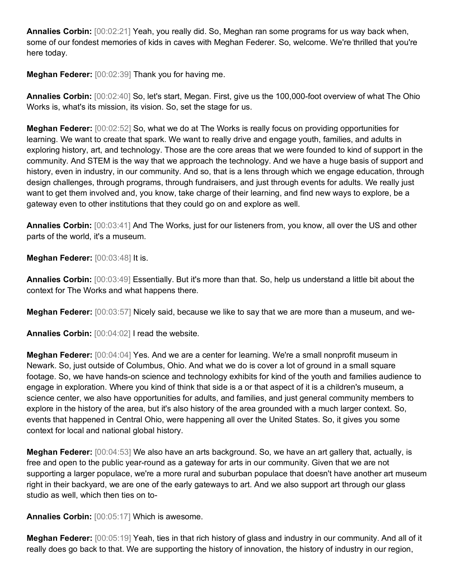**Annalies Corbin:** [00:02:21] Yeah, you really did. So, Meghan ran some programs for us way back when, some of our fondest memories of kids in caves with Meghan Federer. So, welcome. We're thrilled that you're here today.

**Meghan Federer:** [00:02:39] Thank you for having me.

**Annalies Corbin:** [00:02:40] So, let's start, Megan. First, give us the 100,000-foot overview of what The Ohio Works is, what's its mission, its vision. So, set the stage for us.

**Meghan Federer:** [00:02:52] So, what we do at The Works is really focus on providing opportunities for learning. We want to create that spark. We want to really drive and engage youth, families, and adults in exploring history, art, and technology. Those are the core areas that we were founded to kind of support in the community. And STEM is the way that we approach the technology. And we have a huge basis of support and history, even in industry, in our community. And so, that is a lens through which we engage education, through design challenges, through programs, through fundraisers, and just through events for adults. We really just want to get them involved and, you know, take charge of their learning, and find new ways to explore, be a gateway even to other institutions that they could go on and explore as well.

**Annalies Corbin:** [00:03:41] And The Works, just for our listeners from, you know, all over the US and other parts of the world, it's a museum.

**Meghan Federer:** [00:03:48] It is.

**Annalies Corbin:** [00:03:49] Essentially. But it's more than that. So, help us understand a little bit about the context for The Works and what happens there.

**Meghan Federer:** [00:03:57] Nicely said, because we like to say that we are more than a museum, and we-

**Annalies Corbin:** [00:04:02] I read the website.

**Meghan Federer:** [00:04:04] Yes. And we are a center for learning. We're a small nonprofit museum in Newark. So, just outside of Columbus, Ohio. And what we do is cover a lot of ground in a small square footage. So, we have hands-on science and technology exhibits for kind of the youth and families audience to engage in exploration. Where you kind of think that side is a or that aspect of it is a children's museum, a science center, we also have opportunities for adults, and families, and just general community members to explore in the history of the area, but it's also history of the area grounded with a much larger context. So, events that happened in Central Ohio, were happening all over the United States. So, it gives you some context for local and national global history.

**Meghan Federer:** [00:04:53] We also have an arts background. So, we have an art gallery that, actually, is free and open to the public year-round as a gateway for arts in our community. Given that we are not supporting a larger populace, we're a more rural and suburban populace that doesn't have another art museum right in their backyard, we are one of the early gateways to art. And we also support art through our glass studio as well, which then ties on to-

**Annalies Corbin:** [00:05:17] Which is awesome.

**Meghan Federer:** [00:05:19] Yeah, ties in that rich history of glass and industry in our community. And all of it really does go back to that. We are supporting the history of innovation, the history of industry in our region,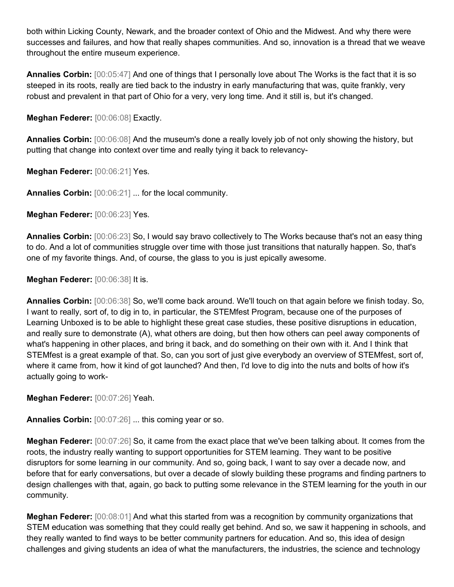both within Licking County, Newark, and the broader context of Ohio and the Midwest. And why there were successes and failures, and how that really shapes communities. And so, innovation is a thread that we weave throughout the entire museum experience.

**Annalies Corbin:** [00:05:47] And one of things that I personally love about The Works is the fact that it is so steeped in its roots, really are tied back to the industry in early manufacturing that was, quite frankly, very robust and prevalent in that part of Ohio for a very, very long time. And it still is, but it's changed.

**Meghan Federer:** [00:06:08] Exactly.

**Annalies Corbin:** [00:06:08] And the museum's done a really lovely job of not only showing the history, but putting that change into context over time and really tying it back to relevancy-

**Meghan Federer:** [00:06:21] Yes.

**Annalies Corbin:** [00:06:21] ... for the local community.

**Meghan Federer:** [00:06:23] Yes.

**Annalies Corbin:** [00:06:23] So, I would say bravo collectively to The Works because that's not an easy thing to do. And a lot of communities struggle over time with those just transitions that naturally happen. So, that's one of my favorite things. And, of course, the glass to you is just epically awesome.

**Meghan Federer:** [00:06:38] It is.

**Annalies Corbin:** [00:06:38] So, we'll come back around. We'll touch on that again before we finish today. So, I want to really, sort of, to dig in to, in particular, the STEMfest Program, because one of the purposes of Learning Unboxed is to be able to highlight these great case studies, these positive disruptions in education, and really sure to demonstrate (A), what others are doing, but then how others can peel away components of what's happening in other places, and bring it back, and do something on their own with it. And I think that STEMfest is a great example of that. So, can you sort of just give everybody an overview of STEMfest, sort of, where it came from, how it kind of got launched? And then, I'd love to dig into the nuts and bolts of how it's actually going to work-

**Meghan Federer:** [00:07:26] Yeah.

**Annalies Corbin:** [00:07:26] ... this coming year or so.

**Meghan Federer:** [00:07:26] So, it came from the exact place that we've been talking about. It comes from the roots, the industry really wanting to support opportunities for STEM learning. They want to be positive disruptors for some learning in our community. And so, going back, I want to say over a decade now, and before that for early conversations, but over a decade of slowly building these programs and finding partners to design challenges with that, again, go back to putting some relevance in the STEM learning for the youth in our community.

**Meghan Federer:** [00:08:01] And what this started from was a recognition by community organizations that STEM education was something that they could really get behind. And so, we saw it happening in schools, and they really wanted to find ways to be better community partners for education. And so, this idea of design challenges and giving students an idea of what the manufacturers, the industries, the science and technology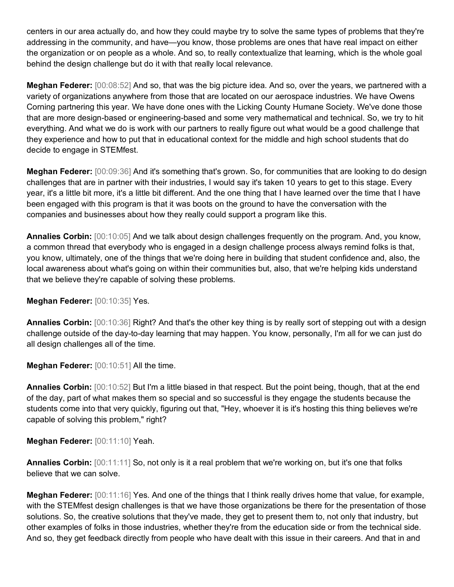centers in our area actually do, and how they could maybe try to solve the same types of problems that they're addressing in the community, and have—you know, those problems are ones that have real impact on either the organization or on people as a whole. And so, to really contextualize that learning, which is the whole goal behind the design challenge but do it with that really local relevance.

**Meghan Federer:** [00:08:52] And so, that was the big picture idea. And so, over the years, we partnered with a variety of organizations anywhere from those that are located on our aerospace industries. We have Owens Corning partnering this year. We have done ones with the Licking County Humane Society. We've done those that are more design-based or engineering-based and some very mathematical and technical. So, we try to hit everything. And what we do is work with our partners to really figure out what would be a good challenge that they experience and how to put that in educational context for the middle and high school students that do decide to engage in STEMfest.

**Meghan Federer:** [00:09:36] And it's something that's grown. So, for communities that are looking to do design challenges that are in partner with their industries, I would say it's taken 10 years to get to this stage. Every year, it's a little bit more, it's a little bit different. And the one thing that I have learned over the time that I have been engaged with this program is that it was boots on the ground to have the conversation with the companies and businesses about how they really could support a program like this.

**Annalies Corbin:** [00:10:05] And we talk about design challenges frequently on the program. And, you know, a common thread that everybody who is engaged in a design challenge process always remind folks is that, you know, ultimately, one of the things that we're doing here in building that student confidence and, also, the local awareness about what's going on within their communities but, also, that we're helping kids understand that we believe they're capable of solving these problems.

**Meghan Federer:** [00:10:35] Yes.

**Annalies Corbin:** [00:10:36] Right? And that's the other key thing is by really sort of stepping out with a design challenge outside of the day-to-day learning that may happen. You know, personally, I'm all for we can just do all design challenges all of the time.

**Meghan Federer:** [00:10:51] All the time.

**Annalies Corbin:** [00:10:52] But I'm a little biased in that respect. But the point being, though, that at the end of the day, part of what makes them so special and so successful is they engage the students because the students come into that very quickly, figuring out that, "Hey, whoever it is it's hosting this thing believes we're capable of solving this problem," right?

**Meghan Federer:** [00:11:10] Yeah.

**Annalies Corbin:** [00:11:11] So, not only is it a real problem that we're working on, but it's one that folks believe that we can solve.

**Meghan Federer:** [00:11:16] Yes. And one of the things that I think really drives home that value, for example, with the STEMfest design challenges is that we have those organizations be there for the presentation of those solutions. So, the creative solutions that they've made, they get to present them to, not only that industry, but other examples of folks in those industries, whether they're from the education side or from the technical side. And so, they get feedback directly from people who have dealt with this issue in their careers. And that in and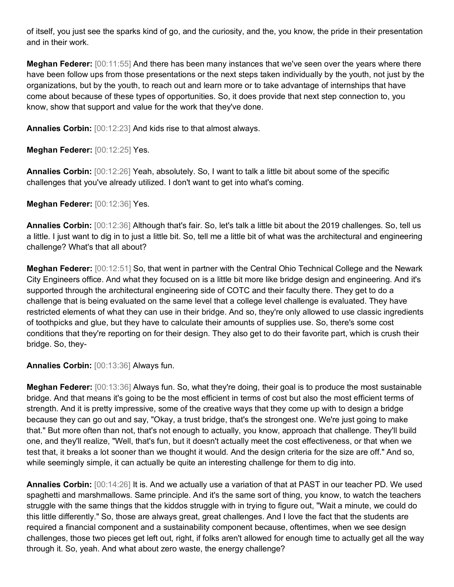of itself, you just see the sparks kind of go, and the curiosity, and the, you know, the pride in their presentation and in their work.

**Meghan Federer:** [00:11:55] And there has been many instances that we've seen over the years where there have been follow ups from those presentations or the next steps taken individually by the youth, not just by the organizations, but by the youth, to reach out and learn more or to take advantage of internships that have come about because of these types of opportunities. So, it does provide that next step connection to, you know, show that support and value for the work that they've done.

**Annalies Corbin:** [00:12:23] And kids rise to that almost always.

**Meghan Federer:** [00:12:25] Yes.

**Annalies Corbin:** [00:12:26] Yeah, absolutely. So, I want to talk a little bit about some of the specific challenges that you've already utilized. I don't want to get into what's coming.

**Meghan Federer:** [00:12:36] Yes.

**Annalies Corbin:** [00:12:36] Although that's fair. So, let's talk a little bit about the 2019 challenges. So, tell us a little. I just want to dig in to just a little bit. So, tell me a little bit of what was the architectural and engineering challenge? What's that all about?

**Meghan Federer:** [00:12:51] So, that went in partner with the Central Ohio Technical College and the Newark City Engineers office. And what they focused on is a little bit more like bridge design and engineering. And it's supported through the architectural engineering side of COTC and their faculty there. They get to do a challenge that is being evaluated on the same level that a college level challenge is evaluated. They have restricted elements of what they can use in their bridge. And so, they're only allowed to use classic ingredients of toothpicks and glue, but they have to calculate their amounts of supplies use. So, there's some cost conditions that they're reporting on for their design. They also get to do their favorite part, which is crush their bridge. So, they-

**Annalies Corbin:** [00:13:36] Always fun.

**Meghan Federer:** [00:13:36] Always fun. So, what they're doing, their goal is to produce the most sustainable bridge. And that means it's going to be the most efficient in terms of cost but also the most efficient terms of strength. And it is pretty impressive, some of the creative ways that they come up with to design a bridge because they can go out and say, "Okay, a trust bridge, that's the strongest one. We're just going to make that." But more often than not, that's not enough to actually, you know, approach that challenge. They'll build one, and they'll realize, "Well, that's fun, but it doesn't actually meet the cost effectiveness, or that when we test that, it breaks a lot sooner than we thought it would. And the design criteria for the size are off." And so, while seemingly simple, it can actually be quite an interesting challenge for them to dig into.

**Annalies Corbin:** [00:14:26] It is. And we actually use a variation of that at PAST in our teacher PD. We used spaghetti and marshmallows. Same principle. And it's the same sort of thing, you know, to watch the teachers struggle with the same things that the kiddos struggle with in trying to figure out, "Wait a minute, we could do this little differently." So, those are always great, great challenges. And I love the fact that the students are required a financial component and a sustainability component because, oftentimes, when we see design challenges, those two pieces get left out, right, if folks aren't allowed for enough time to actually get all the way through it. So, yeah. And what about zero waste, the energy challenge?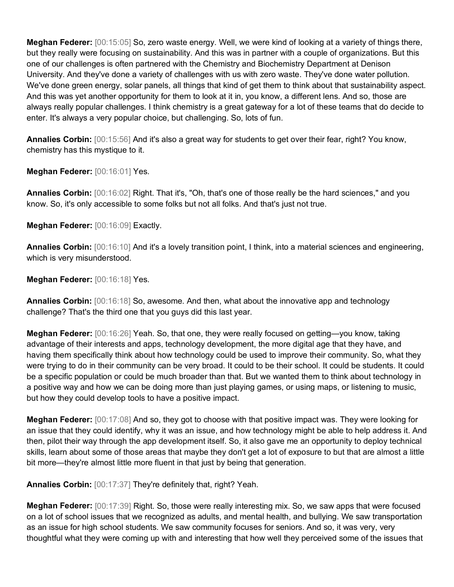**Meghan Federer:** [00:15:05] So, zero waste energy. Well, we were kind of looking at a variety of things there, but they really were focusing on sustainability. And this was in partner with a couple of organizations. But this one of our challenges is often partnered with the Chemistry and Biochemistry Department at Denison University. And they've done a variety of challenges with us with zero waste. They've done water pollution. We've done green energy, solar panels, all things that kind of get them to think about that sustainability aspect. And this was yet another opportunity for them to look at it in, you know, a different lens. And so, those are always really popular challenges. I think chemistry is a great gateway for a lot of these teams that do decide to enter. It's always a very popular choice, but challenging. So, lots of fun.

**Annalies Corbin:** [00:15:56] And it's also a great way for students to get over their fear, right? You know, chemistry has this mystique to it.

**Meghan Federer:** [00:16:01] Yes.

**Annalies Corbin:** [00:16:02] Right. That it's, "Oh, that's one of those really be the hard sciences," and you know. So, it's only accessible to some folks but not all folks. And that's just not true.

**Meghan Federer:** [00:16:09] Exactly.

**Annalies Corbin:** [00:16:10] And it's a lovely transition point, I think, into a material sciences and engineering, which is very misunderstood.

**Meghan Federer:** [00:16:18] Yes.

**Annalies Corbin:** [00:16:18] So, awesome. And then, what about the innovative app and technology challenge? That's the third one that you guys did this last year.

**Meghan Federer:** [00:16:26] Yeah. So, that one, they were really focused on getting—you know, taking advantage of their interests and apps, technology development, the more digital age that they have, and having them specifically think about how technology could be used to improve their community. So, what they were trying to do in their community can be very broad. It could to be their school. It could be students. It could be a specific population or could be much broader than that. But we wanted them to think about technology in a positive way and how we can be doing more than just playing games, or using maps, or listening to music, but how they could develop tools to have a positive impact.

**Meghan Federer:** [00:17:08] And so, they got to choose with that positive impact was. They were looking for an issue that they could identify, why it was an issue, and how technology might be able to help address it. And then, pilot their way through the app development itself. So, it also gave me an opportunity to deploy technical skills, learn about some of those areas that maybe they don't get a lot of exposure to but that are almost a little bit more—they're almost little more fluent in that just by being that generation.

**Annalies Corbin:** [00:17:37] They're definitely that, right? Yeah.

**Meghan Federer:** [00:17:39] Right. So, those were really interesting mix. So, we saw apps that were focused on a lot of school issues that we recognized as adults, and mental health, and bullying. We saw transportation as an issue for high school students. We saw community focuses for seniors. And so, it was very, very thoughtful what they were coming up with and interesting that how well they perceived some of the issues that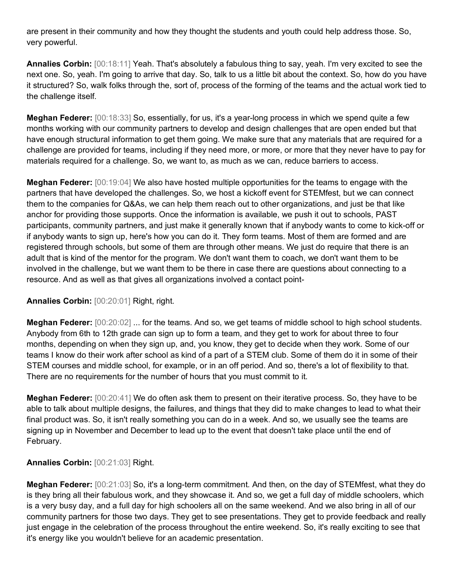are present in their community and how they thought the students and youth could help address those. So, very powerful.

**Annalies Corbin:** [00:18:11] Yeah. That's absolutely a fabulous thing to say, yeah. I'm very excited to see the next one. So, yeah. I'm going to arrive that day. So, talk to us a little bit about the context. So, how do you have it structured? So, walk folks through the, sort of, process of the forming of the teams and the actual work tied to the challenge itself.

**Meghan Federer:** [00:18:33] So, essentially, for us, it's a year-long process in which we spend quite a few months working with our community partners to develop and design challenges that are open ended but that have enough structural information to get them going. We make sure that any materials that are required for a challenge are provided for teams, including if they need more, or more, or more that they never have to pay for materials required for a challenge. So, we want to, as much as we can, reduce barriers to access.

**Meghan Federer:** [00:19:04] We also have hosted multiple opportunities for the teams to engage with the partners that have developed the challenges. So, we host a kickoff event for STEMfest, but we can connect them to the companies for Q&As, we can help them reach out to other organizations, and just be that like anchor for providing those supports. Once the information is available, we push it out to schools, PAST participants, community partners, and just make it generally known that if anybody wants to come to kick-off or if anybody wants to sign up, here's how you can do it. They form teams. Most of them are formed and are registered through schools, but some of them are through other means. We just do require that there is an adult that is kind of the mentor for the program. We don't want them to coach, we don't want them to be involved in the challenge, but we want them to be there in case there are questions about connecting to a resource. And as well as that gives all organizations involved a contact point-

## **Annalies Corbin:** [00:20:01] Right, right.

**Meghan Federer:** [00:20:02] ... for the teams. And so, we get teams of middle school to high school students. Anybody from 6th to 12th grade can sign up to form a team, and they get to work for about three to four months, depending on when they sign up, and, you know, they get to decide when they work. Some of our teams I know do their work after school as kind of a part of a STEM club. Some of them do it in some of their STEM courses and middle school, for example, or in an off period. And so, there's a lot of flexibility to that. There are no requirements for the number of hours that you must commit to it.

**Meghan Federer:** [00:20:41] We do often ask them to present on their iterative process. So, they have to be able to talk about multiple designs, the failures, and things that they did to make changes to lead to what their final product was. So, it isn't really something you can do in a week. And so, we usually see the teams are signing up in November and December to lead up to the event that doesn't take place until the end of February.

**Annalies Corbin:** [00:21:03] Right.

**Meghan Federer:** [00:21:03] So, it's a long-term commitment. And then, on the day of STEMfest, what they do is they bring all their fabulous work, and they showcase it. And so, we get a full day of middle schoolers, which is a very busy day, and a full day for high schoolers all on the same weekend. And we also bring in all of our community partners for those two days. They get to see presentations. They get to provide feedback and really just engage in the celebration of the process throughout the entire weekend. So, it's really exciting to see that it's energy like you wouldn't believe for an academic presentation.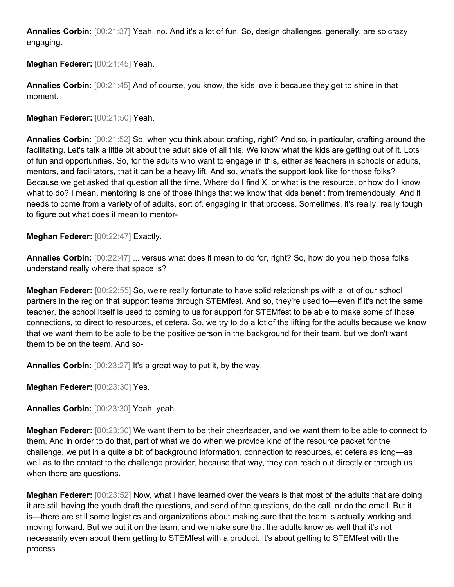**Annalies Corbin:** [00:21:37] Yeah, no. And it's a lot of fun. So, design challenges, generally, are so crazy engaging.

**Meghan Federer:** [00:21:45] Yeah.

**Annalies Corbin:** [00:21:45] And of course, you know, the kids love it because they get to shine in that moment.

**Meghan Federer:** [00:21:50] Yeah.

**Annalies Corbin:** [00:21:52] So, when you think about crafting, right? And so, in particular, crafting around the facilitating. Let's talk a little bit about the adult side of all this. We know what the kids are getting out of it. Lots of fun and opportunities. So, for the adults who want to engage in this, either as teachers in schools or adults, mentors, and facilitators, that it can be a heavy lift. And so, what's the support look like for those folks? Because we get asked that question all the time. Where do I find X, or what is the resource, or how do I know what to do? I mean, mentoring is one of those things that we know that kids benefit from tremendously. And it needs to come from a variety of of adults, sort of, engaging in that process. Sometimes, it's really, really tough to figure out what does it mean to mentor-

**Meghan Federer:** [00:22:47] Exactly.

**Annalies Corbin:** [00:22:47] ... versus what does it mean to do for, right? So, how do you help those folks understand really where that space is?

**Meghan Federer:** [00:22:55] So, we're really fortunate to have solid relationships with a lot of our school partners in the region that support teams through STEMfest. And so, they're used to—even if it's not the same teacher, the school itself is used to coming to us for support for STEMfest to be able to make some of those connections, to direct to resources, et cetera. So, we try to do a lot of the lifting for the adults because we know that we want them to be able to be the positive person in the background for their team, but we don't want them to be on the team. And so-

**Annalies Corbin:** [00:23:27] It's a great way to put it, by the way.

**Meghan Federer:** [00:23:30] Yes.

**Annalies Corbin:** [00:23:30] Yeah, yeah.

**Meghan Federer:** [00:23:30] We want them to be their cheerleader, and we want them to be able to connect to them. And in order to do that, part of what we do when we provide kind of the resource packet for the challenge, we put in a quite a bit of background information, connection to resources, et cetera as long—as well as to the contact to the challenge provider, because that way, they can reach out directly or through us when there are questions.

**Meghan Federer:** [00:23:52] Now, what I have learned over the years is that most of the adults that are doing it are still having the youth draft the questions, and send of the questions, do the call, or do the email. But it is—there are still some logistics and organizations about making sure that the team is actually working and moving forward. But we put it on the team, and we make sure that the adults know as well that it's not necessarily even about them getting to STEMfest with a product. It's about getting to STEMfest with the process.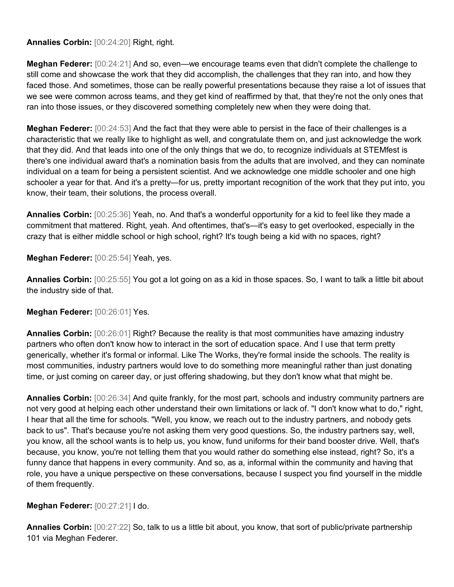**Annalies Corbin:** [00:24:20] Right, right.

**Meghan Federer:** [00:24:21] And so, even—we encourage teams even that didn't complete the challenge to still come and showcase the work that they did accomplish, the challenges that they ran into, and how they faced those. And sometimes, those can be really powerful presentations because they raise a lot of issues that we see were common across teams, and they get kind of reaffirmed by that, that they're not the only ones that ran into those issues, or they discovered something completely new when they were doing that.

**Meghan Federer:** [00:24:53] And the fact that they were able to persist in the face of their challenges is a characteristic that we really like to highlight as well, and congratulate them on, and just acknowledge the work that they did. And that leads into one of the only things that we do, to recognize individuals at STEMfest is there's one individual award that's a nomination basis from the adults that are involved, and they can nominate individual on a team for being a persistent scientist. And we acknowledge one middle schooler and one high schooler a year for that. And it's a pretty—for us, pretty important recognition of the work that they put into, you know, their team, their solutions, the process overall.

**Annalies Corbin:** [00:25:36] Yeah, no. And that's a wonderful opportunity for a kid to feel like they made a commitment that mattered. Right, yeah. And oftentimes, that's—it's easy to get overlooked, especially in the crazy that is either middle school or high school, right? It's tough being a kid with no spaces, right?

**Meghan Federer:** [00:25:54] Yeah, yes.

**Annalies Corbin:** [00:25:55] You got a lot going on as a kid in those spaces. So, I want to talk a little bit about the industry side of that.

## **Meghan Federer:** [00:26:01] Yes.

**Annalies Corbin:** [00:26:01] Right? Because the reality is that most communities have amazing industry partners who often don't know how to interact in the sort of education space. And I use that term pretty generically, whether it's formal or informal. Like The Works, they're formal inside the schools. The reality is most communities, industry partners would love to do something more meaningful rather than just donating time, or just coming on career day, or just offering shadowing, but they don't know what that might be.

**Annalies Corbin:** [00:26:34] And quite frankly, for the most part, schools and industry community partners are not very good at helping each other understand their own limitations or lack of. "I don't know what to do," right, I hear that all the time for schools. "Well, you know, we reach out to the industry partners, and nobody gets back to us". That's because you're not asking them very good questions. So, the industry partners say, well, you know, all the school wants is to help us, you know, fund uniforms for their band booster drive. Well, that's because, you know, you're not telling them that you would rather do something else instead, right? So, it's a funny dance that happens in every community. And so, as a, informal within the community and having that role, you have a unique perspective on these conversations, because I suspect you find yourself in the middle of them frequently.

## **Meghan Federer:** [00:27:21] I do.

**Annalies Corbin:** [00:27:22] So, talk to us a little bit about, you know, that sort of public/private partnership 101 via Meghan Federer.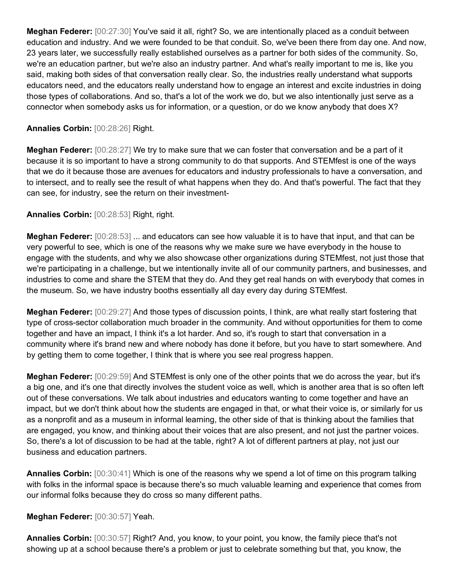**Meghan Federer:** [00:27:30] You've said it all, right? So, we are intentionally placed as a conduit between education and industry. And we were founded to be that conduit. So, we've been there from day one. And now, 23 years later, we successfully really established ourselves as a partner for both sides of the community. So, we're an education partner, but we're also an industry partner. And what's really important to me is, like you said, making both sides of that conversation really clear. So, the industries really understand what supports educators need, and the educators really understand how to engage an interest and excite industries in doing those types of collaborations. And so, that's a lot of the work we do, but we also intentionally just serve as a connector when somebody asks us for information, or a question, or do we know anybody that does X?

#### **Annalies Corbin:** [00:28:26] Right.

**Meghan Federer:** [00:28:27] We try to make sure that we can foster that conversation and be a part of it because it is so important to have a strong community to do that supports. And STEMfest is one of the ways that we do it because those are avenues for educators and industry professionals to have a conversation, and to intersect, and to really see the result of what happens when they do. And that's powerful. The fact that they can see, for industry, see the return on their investment-

#### **Annalies Corbin:** [00:28:53] Right, right.

**Meghan Federer:** [00:28:53] ... and educators can see how valuable it is to have that input, and that can be very powerful to see, which is one of the reasons why we make sure we have everybody in the house to engage with the students, and why we also showcase other organizations during STEMfest, not just those that we're participating in a challenge, but we intentionally invite all of our community partners, and businesses, and industries to come and share the STEM that they do. And they get real hands on with everybody that comes in the museum. So, we have industry booths essentially all day every day during STEMfest.

**Meghan Federer:** [00:29:27] And those types of discussion points, I think, are what really start fostering that type of cross-sector collaboration much broader in the community. And without opportunities for them to come together and have an impact, I think it's a lot harder. And so, it's rough to start that conversation in a community where it's brand new and where nobody has done it before, but you have to start somewhere. And by getting them to come together, I think that is where you see real progress happen.

**Meghan Federer:** [00:29:59] And STEMfest is only one of the other points that we do across the year, but it's a big one, and it's one that directly involves the student voice as well, which is another area that is so often left out of these conversations. We talk about industries and educators wanting to come together and have an impact, but we don't think about how the students are engaged in that, or what their voice is, or similarly for us as a nonprofit and as a museum in informal learning, the other side of that is thinking about the families that are engaged, you know, and thinking about their voices that are also present, and not just the partner voices. So, there's a lot of discussion to be had at the table, right? A lot of different partners at play, not just our business and education partners.

**Annalies Corbin:** [00:30:41] Which is one of the reasons why we spend a lot of time on this program talking with folks in the informal space is because there's so much valuable learning and experience that comes from our informal folks because they do cross so many different paths.

**Meghan Federer:** [00:30:57] Yeah.

**Annalies Corbin:** [00:30:57] Right? And, you know, to your point, you know, the family piece that's not showing up at a school because there's a problem or just to celebrate something but that, you know, the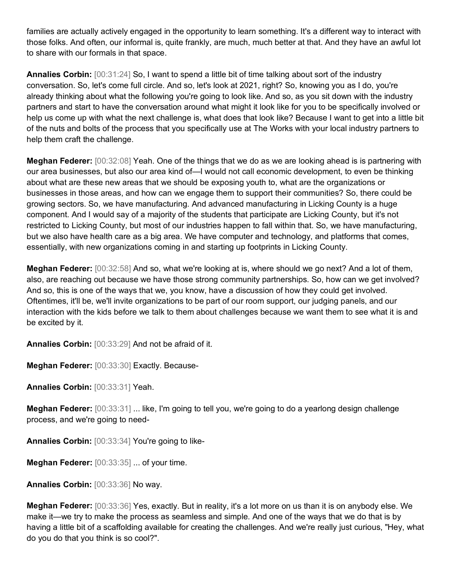families are actually actively engaged in the opportunity to learn something. It's a different way to interact with those folks. And often, our informal is, quite frankly, are much, much better at that. And they have an awful lot to share with our formals in that space.

**Annalies Corbin:** [00:31:24] So, I want to spend a little bit of time talking about sort of the industry conversation. So, let's come full circle. And so, let's look at 2021, right? So, knowing you as I do, you're already thinking about what the following you're going to look like. And so, as you sit down with the industry partners and start to have the conversation around what might it look like for you to be specifically involved or help us come up with what the next challenge is, what does that look like? Because I want to get into a little bit of the nuts and bolts of the process that you specifically use at The Works with your local industry partners to help them craft the challenge.

**Meghan Federer:** [00:32:08] Yeah. One of the things that we do as we are looking ahead is is partnering with our area businesses, but also our area kind of—I would not call economic development, to even be thinking about what are these new areas that we should be exposing youth to, what are the organizations or businesses in those areas, and how can we engage them to support their communities? So, there could be growing sectors. So, we have manufacturing. And advanced manufacturing in Licking County is a huge component. And I would say of a majority of the students that participate are Licking County, but it's not restricted to Licking County, but most of our industries happen to fall within that. So, we have manufacturing, but we also have health care as a big area. We have computer and technology, and platforms that comes, essentially, with new organizations coming in and starting up footprints in Licking County.

**Meghan Federer:** [00:32:58] And so, what we're looking at is, where should we go next? And a lot of them, also, are reaching out because we have those strong community partnerships. So, how can we get involved? And so, this is one of the ways that we, you know, have a discussion of how they could get involved. Oftentimes, it'll be, we'll invite organizations to be part of our room support, our judging panels, and our interaction with the kids before we talk to them about challenges because we want them to see what it is and be excited by it.

**Annalies Corbin:** [00:33:29] And not be afraid of it.

**Meghan Federer:** [00:33:30] Exactly. Because-

**Annalies Corbin:** [00:33:31] Yeah.

**Meghan Federer:** [00:33:31] ... like, I'm going to tell you, we're going to do a yearlong design challenge process, and we're going to need-

**Annalies Corbin:** [00:33:34] You're going to like-

**Meghan Federer:** [00:33:35] ... of your time.

**Annalies Corbin:** [00:33:36] No way.

**Meghan Federer:** [00:33:36] Yes, exactly. But in reality, it's a lot more on us than it is on anybody else. We make it—we try to make the process as seamless and simple. And one of the ways that we do that is by having a little bit of a scaffolding available for creating the challenges. And we're really just curious, "Hey, what do you do that you think is so cool?".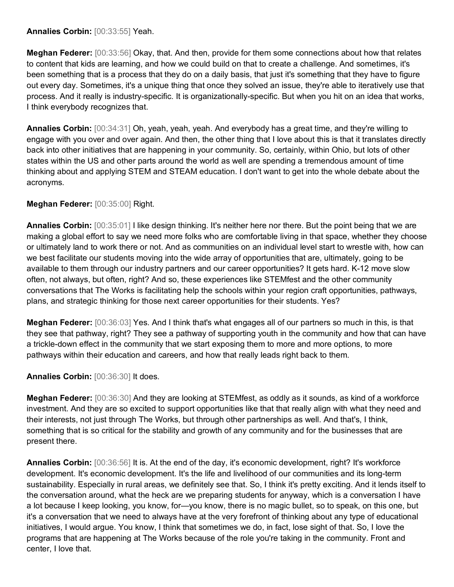#### **Annalies Corbin:** [00:33:55] Yeah.

**Meghan Federer:** [00:33:56] Okay, that. And then, provide for them some connections about how that relates to content that kids are learning, and how we could build on that to create a challenge. And sometimes, it's been something that is a process that they do on a daily basis, that just it's something that they have to figure out every day. Sometimes, it's a unique thing that once they solved an issue, they're able to iteratively use that process. And it really is industry-specific. It is organizationally-specific. But when you hit on an idea that works, I think everybody recognizes that.

**Annalies Corbin:** [00:34:31] Oh, yeah, yeah, yeah. And everybody has a great time, and they're willing to engage with you over and over again. And then, the other thing that I love about this is that it translates directly back into other initiatives that are happening in your community. So, certainly, within Ohio, but lots of other states within the US and other parts around the world as well are spending a tremendous amount of time thinking about and applying STEM and STEAM education. I don't want to get into the whole debate about the acronyms.

# **Meghan Federer:** [00:35:00] Right.

**Annalies Corbin:** [00:35:01] I like design thinking. It's neither here nor there. But the point being that we are making a global effort to say we need more folks who are comfortable living in that space, whether they choose or ultimately land to work there or not. And as communities on an individual level start to wrestle with, how can we best facilitate our students moving into the wide array of opportunities that are, ultimately, going to be available to them through our industry partners and our career opportunities? It gets hard. K-12 move slow often, not always, but often, right? And so, these experiences like STEMfest and the other community conversations that The Works is facilitating help the schools within your region craft opportunities, pathways, plans, and strategic thinking for those next career opportunities for their students. Yes?

**Meghan Federer:** [00:36:03] Yes. And I think that's what engages all of our partners so much in this, is that they see that pathway, right? They see a pathway of supporting youth in the community and how that can have a trickle-down effect in the community that we start exposing them to more and more options, to more pathways within their education and careers, and how that really leads right back to them.

**Annalies Corbin:** [00:36:30] It does.

**Meghan Federer:** [00:36:30] And they are looking at STEMfest, as oddly as it sounds, as kind of a workforce investment. And they are so excited to support opportunities like that that really align with what they need and their interests, not just through The Works, but through other partnerships as well. And that's, I think, something that is so critical for the stability and growth of any community and for the businesses that are present there.

**Annalies Corbin:** [00:36:56] It is. At the end of the day, it's economic development, right? It's workforce development. It's economic development. It's the life and livelihood of our communities and its long-term sustainability. Especially in rural areas, we definitely see that. So, I think it's pretty exciting. And it lends itself to the conversation around, what the heck are we preparing students for anyway, which is a conversation I have a lot because I keep looking, you know, for—you know, there is no magic bullet, so to speak, on this one, but it's a conversation that we need to always have at the very forefront of thinking about any type of educational initiatives, I would argue. You know, I think that sometimes we do, in fact, lose sight of that. So, I love the programs that are happening at The Works because of the role you're taking in the community. Front and center, I love that.